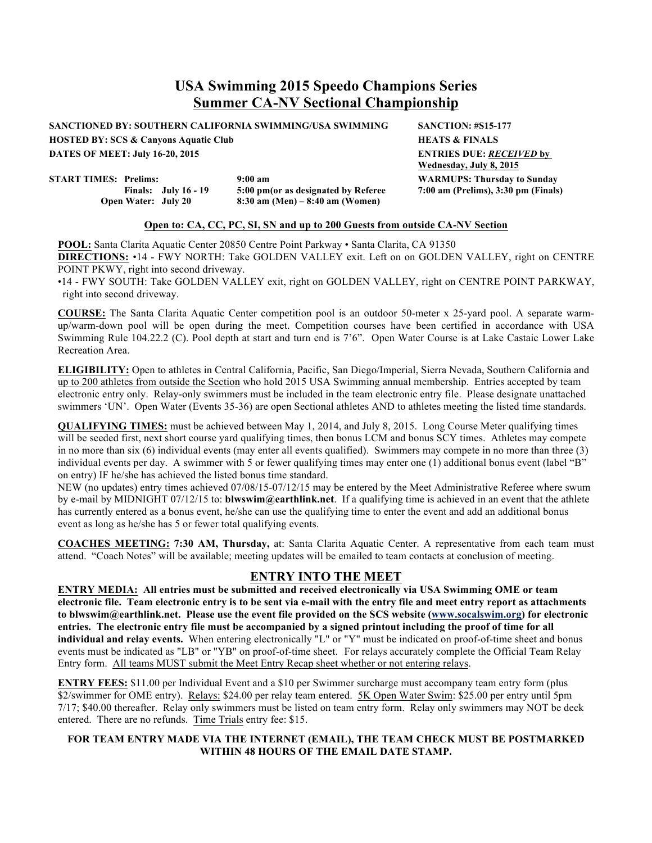**SANCTIONED BY: SOUTHERN CALIFORNIA SWIMMING/USA SWIMMING SANCTION: #S15-177**

**HOSTED BY: SCS & Canyons Aquatic Club HEATS & FINALS**

**START TIMES: Prelims: 9:00 am**

**Finals: July 16 - 19 5:00 pm(or as designated by Referee Open Water: July 20 8:30 am (Men) – 8:40 am (Women)**

**DATES OF MEET: July 16-20, 2015 ENTRIES DUE:** *RECEIVED* **by Wednesday, July 8, 2015 WARMUPS: Thursday to Sunday 7:00 am (Prelims), 3:30 pm (Finals)**

#### **Open to: CA, CC, PC, SI, SN and up to 200 Guests from outside CA-NV Section**

**POOL:** Santa Clarita Aquatic Center 20850 Centre Point Parkway • Santa Clarita, CA 91350 **DIRECTIONS:** •14 - FWY NORTH: Take GOLDEN VALLEY exit. Left on on GOLDEN VALLEY, right on CENTRE POINT PKWY, right into second driveway.

•14 - FWY SOUTH: Take GOLDEN VALLEY exit, right on GOLDEN VALLEY, right on CENTRE POINT PARKWAY, right into second driveway.

**COURSE:** The Santa Clarita Aquatic Center competition pool is an outdoor 50-meter x 25-yard pool. A separate warmup/warm-down pool will be open during the meet. Competition courses have been certified in accordance with USA Swimming Rule 104.22.2 (C). Pool depth at start and turn end is 7'6". Open Water Course is at Lake Castaic Lower Lake Recreation Area.

**ELIGIBILITY:** Open to athletes in Central California, Pacific, San Diego/Imperial, Sierra Nevada, Southern California and up to 200 athletes from outside the Section who hold 2015 USA Swimming annual membership. Entries accepted by team electronic entry only. Relay-only swimmers must be included in the team electronic entry file. Please designate unattached swimmers 'UN'. Open Water (Events 35-36) are open Sectional athletes AND to athletes meeting the listed time standards.

**QUALIFYING TIMES:** must be achieved between May 1, 2014, and July 8, 2015. Long Course Meter qualifying times will be seeded first, next short course yard qualifying times, then bonus LCM and bonus SCY times. Athletes may compete in no more than six (6) individual events (may enter all events qualified). Swimmers may compete in no more than three (3) individual events per day. A swimmer with 5 or fewer qualifying times may enter one (1) additional bonus event (label "B" on entry) IF he/she has achieved the listed bonus time standard.

NEW (no updates) entry times achieved 07/08/15-07/12/15 may be entered by the Meet Administrative Referee where swum by e-mail by MIDNIGHT 07/12/15 to: **blwswim@earthlink.net**. If a qualifying time is achieved in an event that the athlete has currently entered as a bonus event, he/she can use the qualifying time to enter the event and add an additional bonus event as long as he/she has 5 or fewer total qualifying events.

**COACHES MEETING: 7:30 AM, Thursday,** at: Santa Clarita Aquatic Center. A representative from each team must attend. "Coach Notes" will be available; meeting updates will be emailed to team contacts at conclusion of meeting.

## **ENTRY INTO THE MEET**

**ENTRY MEDIA: All entries must be submitted and received electronically via USA Swimming OME or team electronic file. Team electronic entry is to be sent via e-mail with the entry file and meet entry report as attachments to blwswim@earthlink.net. Please use the event file provided on the SCS website (www.socalswim.org) for electronic entries. The electronic entry file must be accompanied by a signed printout including the proof of time for all individual and relay events.** When entering electronically "L" or "Y" must be indicated on proof-of-time sheet and bonus events must be indicated as "LB" or "YB" on proof-of-time sheet. For relays accurately complete the Official Team Relay Entry form. All teams MUST submit the Meet Entry Recap sheet whether or not entering relays.

**ENTRY FEES:** \$11.00 per Individual Event and a \$10 per Swimmer surcharge must accompany team entry form (plus \$2/swimmer for OME entry). Relays: \$24.00 per relay team entered. 5K Open Water Swim: \$25.00 per entry until 5pm 7/17; \$40.00 thereafter. Relay only swimmers must be listed on team entry form. Relay only swimmers may NOT be deck entered. There are no refunds. Time Trials entry fee: \$15.

## **FOR TEAM ENTRY MADE VIA THE INTERNET (EMAIL), THE TEAM CHECK MUST BE POSTMARKED WITHIN 48 HOURS OF THE EMAIL DATE STAMP.**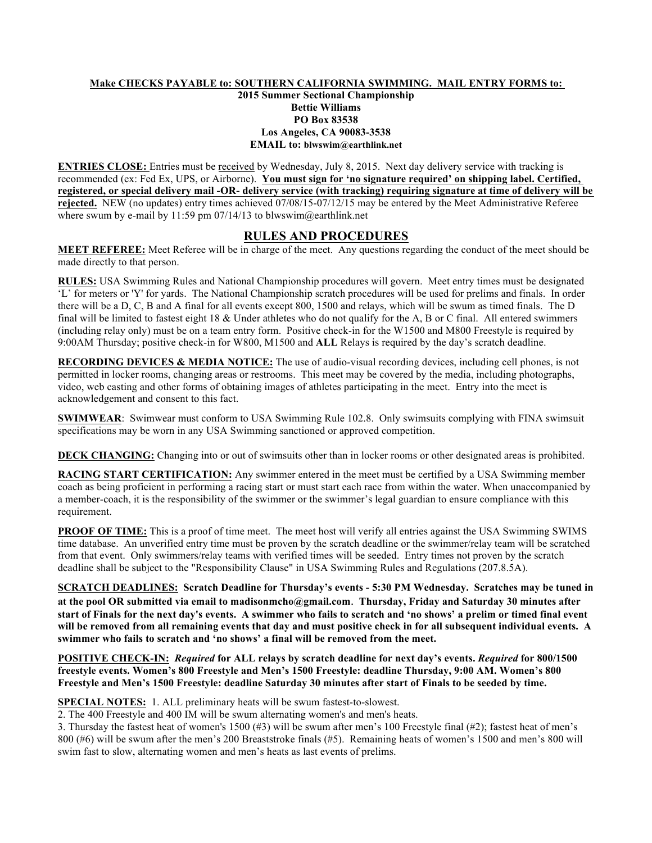## **Make CHECKS PAYABLE to: SOUTHERN CALIFORNIA SWIMMING. MAIL ENTRY FORMS to:**

#### **2015 Summer Sectional Championship Bettie Williams PO Box 83538 Los Angeles, CA 90083-3538 EMAIL to: blwswim@earthlink.net**

**ENTRIES CLOSE:** Entries must be received by Wednesday, July 8, 2015. Next day delivery service with tracking is recommended (ex: Fed Ex, UPS, or Airborne). **You must sign for 'no signature required' on shipping label. Certified, registered, or special delivery mail -OR- delivery service (with tracking) requiring signature at time of delivery will be rejected.** NEW (no updates) entry times achieved 07/08/15-07/12/15 may be entered by the Meet Administrative Referee where swum by e-mail by 11:59 pm 07/14/13 to blwswim@earthlink.net

## **RULES AND PROCEDURES**

**MEET REFEREE:** Meet Referee will be in charge of the meet. Any questions regarding the conduct of the meet should be made directly to that person.

**RULES:** USA Swimming Rules and National Championship procedures will govern. Meet entry times must be designated 'L' for meters or 'Y' for yards. The National Championship scratch procedures will be used for prelims and finals. In order there will be a D, C, B and A final for all events except 800, 1500 and relays, which will be swum as timed finals. The D final will be limited to fastest eight 18 & Under athletes who do not qualify for the A, B or C final. All entered swimmers (including relay only) must be on a team entry form. Positive check-in for the W1500 and M800 Freestyle is required by 9:00AM Thursday; positive check-in for W800, M1500 and **ALL** Relays is required by the day's scratch deadline.

**RECORDING DEVICES & MEDIA NOTICE:** The use of audio-visual recording devices, including cell phones, is not permitted in locker rooms, changing areas or restrooms. This meet may be covered by the media, including photographs, video, web casting and other forms of obtaining images of athletes participating in the meet. Entry into the meet is acknowledgement and consent to this fact.

**SWIMWEAR**: Swimwear must conform to USA Swimming Rule 102.8. Only swimsuits complying with FINA swimsuit specifications may be worn in any USA Swimming sanctioned or approved competition.

**DECK CHANGING:** Changing into or out of swimsuits other than in locker rooms or other designated areas is prohibited.

**RACING START CERTIFICATION:** Any swimmer entered in the meet must be certified by a USA Swimming member coach as being proficient in performing a racing start or must start each race from within the water. When unaccompanied by a member-coach, it is the responsibility of the swimmer or the swimmer's legal guardian to ensure compliance with this requirement.

**PROOF OF TIME:** This is a proof of time meet. The meet host will verify all entries against the USA Swimming SWIMS time database. An unverified entry time must be proven by the scratch deadline or the swimmer/relay team will be scratched from that event. Only swimmers/relay teams with verified times will be seeded. Entry times not proven by the scratch deadline shall be subject to the "Responsibility Clause" in USA Swimming Rules and Regulations (207.8.5A).

**SCRATCH DEADLINES: Scratch Deadline for Thursday's events - 5:30 PM Wednesday. Scratches may be tuned in at the pool OR submitted via email to madisonmcho@gmail.com**. **Thursday, Friday and Saturday 30 minutes after start of Finals for the next day's events. A swimmer who fails to scratch and 'no shows' a prelim or timed final event will be removed from all remaining events that day and must positive check in for all subsequent individual events. A swimmer who fails to scratch and 'no shows' a final will be removed from the meet.**

**POSITIVE CHECK-IN:** *Required* **for ALL relays by scratch deadline for next day's events.** *Required* **for 800/1500 freestyle events. Women's 800 Freestyle and Men's 1500 Freestyle: deadline Thursday, 9:00 AM. Women's 800 Freestyle and Men's 1500 Freestyle: deadline Saturday 30 minutes after start of Finals to be seeded by time.** 

**SPECIAL NOTES:** 1. ALL preliminary heats will be swum fastest-to-slowest.

2. The 400 Freestyle and 400 IM will be swum alternating women's and men's heats.

3. Thursday the fastest heat of women's 1500 (#3) will be swum after men's 100 Freestyle final (#2); fastest heat of men's 800 (#6) will be swum after the men's 200 Breaststroke finals (#5). Remaining heats of women's 1500 and men's 800 will swim fast to slow, alternating women and men's heats as last events of prelims.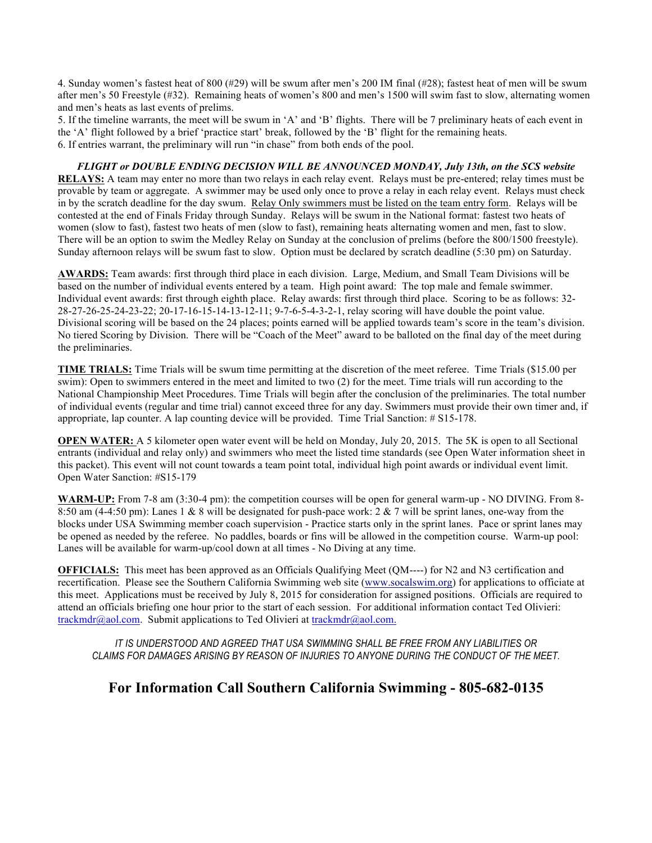4. Sunday women's fastest heat of 800 (#29) will be swum after men's 200 IM final (#28); fastest heat of men will be swum after men's 50 Freestyle (#32). Remaining heats of women's 800 and men's 1500 will swim fast to slow, alternating women and men's heats as last events of prelims.

5. If the timeline warrants, the meet will be swum in 'A' and 'B' flights. There will be 7 preliminary heats of each event in the 'A' flight followed by a brief 'practice start' break, followed by the 'B' flight for the remaining heats. 6. If entries warrant, the preliminary will run "in chase" from both ends of the pool.

#### *FLIGHT or DOUBLE ENDING DECISION WILL BE ANNOUNCED MONDAY, July 13th, on the SCS website*

**RELAYS:** A team may enter no more than two relays in each relay event. Relays must be pre-entered; relay times must be provable by team or aggregate. A swimmer may be used only once to prove a relay in each relay event. Relays must check in by the scratch deadline for the day swum. Relay Only swimmers must be listed on the team entry form. Relays will be contested at the end of Finals Friday through Sunday. Relays will be swum in the National format: fastest two heats of women (slow to fast), fastest two heats of men (slow to fast), remaining heats alternating women and men, fast to slow. There will be an option to swim the Medley Relay on Sunday at the conclusion of prelims (before the 800/1500 freestyle). Sunday afternoon relays will be swum fast to slow. Option must be declared by scratch deadline (5:30 pm) on Saturday.

**AWARDS:** Team awards: first through third place in each division. Large, Medium, and Small Team Divisions will be based on the number of individual events entered by a team. High point award: The top male and female swimmer. Individual event awards: first through eighth place. Relay awards: first through third place. Scoring to be as follows: 32- 28-27-26-25-24-23-22; 20-17-16-15-14-13-12-11; 9-7-6-5-4-3-2-1, relay scoring will have double the point value. Divisional scoring will be based on the 24 places; points earned will be applied towards team's score in the team's division. No tiered Scoring by Division. There will be "Coach of the Meet" award to be balloted on the final day of the meet during the preliminaries.

**TIME TRIALS:** Time Trials will be swum time permitting at the discretion of the meet referee. Time Trials (\$15.00 per swim): Open to swimmers entered in the meet and limited to two (2) for the meet. Time trials will run according to the National Championship Meet Procedures. Time Trials will begin after the conclusion of the preliminaries. The total number of individual events (regular and time trial) cannot exceed three for any day. Swimmers must provide their own timer and, if appropriate, lap counter. A lap counting device will be provided. Time Trial Sanction: # S15-178.

**OPEN WATER:** A 5 kilometer open water event will be held on Monday, July 20, 2015. The 5K is open to all Sectional entrants (individual and relay only) and swimmers who meet the listed time standards (see Open Water information sheet in this packet). This event will not count towards a team point total, individual high point awards or individual event limit. Open Water Sanction: #S15-179

**WARM-UP:** From 7-8 am (3:30-4 pm): the competition courses will be open for general warm-up - NO DIVING. From 8- 8:50 am (4-4:50 pm): Lanes 1 & 8 will be designated for push-pace work:  $2 \& 7$  will be sprint lanes, one-way from the blocks under USA Swimming member coach supervision - Practice starts only in the sprint lanes. Pace or sprint lanes may be opened as needed by the referee. No paddles, boards or fins will be allowed in the competition course. Warm-up pool: Lanes will be available for warm-up/cool down at all times - No Diving at any time.

**OFFICIALS:** This meet has been approved as an Officials Qualifying Meet (QM----) for N2 and N3 certification and recertification. Please see the Southern California Swimming web site (www.socalswim.org) for applications to officiate at this meet. Applications must be received by July 8, 2015 for consideration for assigned positions. Officials are required to attend an officials briefing one hour prior to the start of each session. For additional information contact Ted Olivieri: trackmdr@aol.com. Submit applications to Ted Olivieri at trackmdr@aol.com.

*IT IS UNDERSTOOD AND AGREED THAT USA SWIMMING SHALL BE FREE FROM ANY LIABILITIES OR CLAIMS FOR DAMAGES ARISING BY REASON OF INJURIES TO ANYONE DURING THE CONDUCT OF THE MEET.*

## **For Information Call Southern California Swimming - 805-682-0135**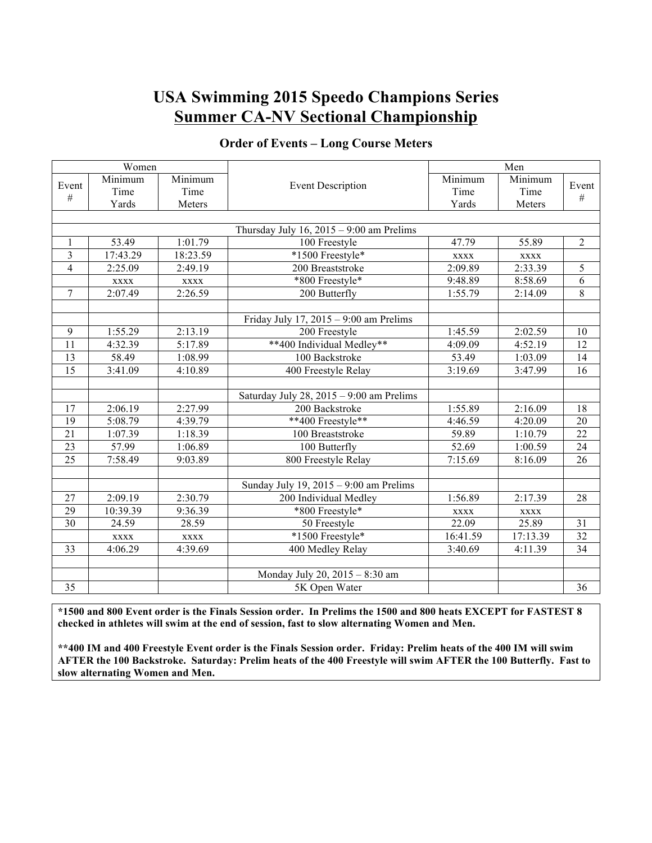| Women           |             |             |                                            | Men         |             |                 |  |  |
|-----------------|-------------|-------------|--------------------------------------------|-------------|-------------|-----------------|--|--|
| Event           | Minimum     | Minimum     | <b>Event Description</b>                   | Minimum     | Minimum     | Event           |  |  |
| #               | Time        | Time        |                                            | Time        | Time        | $\#$            |  |  |
|                 | Yards       | Meters      |                                            | Yards       | Meters      |                 |  |  |
|                 |             |             |                                            |             |             |                 |  |  |
|                 |             |             | Thursday July 16, $2015 - 9:00$ am Prelims |             |             |                 |  |  |
| $\mathbf{1}$    | 53.49       | 1:01.79     | 100 Freestyle                              | 47.79       | 55.89       | $\overline{2}$  |  |  |
| 3               | 17:43.29    | 18:23.59    | *1500 Freestyle*                           | <b>XXXX</b> | <b>XXXX</b> |                 |  |  |
| $\overline{4}$  | 2:25.09     | 2:49.19     | 200 Breaststroke                           | 2:09.89     | 2:33.39     | 5               |  |  |
|                 | <b>XXXX</b> | <b>XXXX</b> | *800 Freestyle*                            | 9:48.89     | 8:58.69     | 6               |  |  |
| $7\phantom{.0}$ | 2:07.49     | 2:26.59     | 200 Butterfly                              | 1:55.79     | 2:14.09     | 8               |  |  |
|                 |             |             |                                            |             |             |                 |  |  |
|                 |             |             | Friday July 17, $2015 - 9:00$ am Prelims   |             |             |                 |  |  |
| 9               | 1:55.29     | 2:13.19     | $\overline{200}$ Freestyle                 | 1:45.59     | 2:02.59     | 10              |  |  |
| 11              | 4:32.39     | 5:17.89     | **400 Individual Medley**                  | 4:09.09     | 4:52.19     | 12              |  |  |
| 13              | 58.49       | 1:08.99     | 100 Backstroke                             | 53.49       | 1:03.09     | 14              |  |  |
| $\overline{15}$ | 3:41.09     | 4:10.89     | 400 Freestyle Relay                        | 3:19.69     | 3:47.99     | 16              |  |  |
|                 |             |             |                                            |             |             |                 |  |  |
|                 |             |             | Saturday July 28, $2015 - 9:00$ am Prelims |             |             |                 |  |  |
| 17              | 2:06.19     | 2:27.99     | 200 Backstroke                             | 1:55.89     | 2:16.09     | 18              |  |  |
| 19              | 5:08.79     | 4:39.79     | **400 Freestyle**                          | 4:46.59     | 4:20.09     | 20              |  |  |
| $\overline{21}$ | 1:07.39     | 1:18.39     | 100 Breaststroke                           | 59.89       | 1:10.79     | 22              |  |  |
| $\overline{23}$ | 57.99       | 1:06.89     | 100 Butterfly                              | 52.69       | 1:00.59     | 24              |  |  |
| $\overline{25}$ | 7:58.49     | 9:03.89     | 800 Freestyle Relay                        | 7:15.69     | 8:16.09     | 26              |  |  |
|                 |             |             |                                            |             |             |                 |  |  |
|                 |             |             | Sunday July 19, $2015 - 9:00$ am Prelims   |             |             |                 |  |  |
| 27              | 2:09.19     | 2:30.79     | 200 Individual Medley                      | 1:56.89     | 2:17.39     | 28              |  |  |
| $\overline{29}$ | 10:39.39    | 9:36.39     | *800 Freestyle*                            | <b>XXXX</b> | <b>XXXX</b> |                 |  |  |
| $\overline{30}$ | 24.59       | 28.59       | 50 Freestyle                               | 22.09       | 25.89       | 31              |  |  |
|                 | <b>XXXX</b> | <b>XXXX</b> | *1500 Freestyle*                           | 16:41.59    | 17:13.39    | $\overline{32}$ |  |  |
| 33              | 4:06.29     | 4:39.69     | 400 Medley Relay                           | 3:40.69     | 4:11.39     | 34              |  |  |
|                 |             |             |                                            |             |             |                 |  |  |
|                 |             |             | Monday July 20, 2015 - 8:30 am             |             |             |                 |  |  |
| 35              |             |             | 5K Open Water<br>36                        |             |             |                 |  |  |

## **Order of Events – Long Course Meters**

**\*1500 and 800 Event order is the Finals Session order. In Prelims the 1500 and 800 heats EXCEPT for FASTEST 8 checked in athletes will swim at the end of session, fast to slow alternating Women and Men.**

**\*\*400 IM and 400 Freestyle Event order is the Finals Session order. Friday: Prelim heats of the 400 IM will swim AFTER the 100 Backstroke. Saturday: Prelim heats of the 400 Freestyle will swim AFTER the 100 Butterfly. Fast to slow alternating Women and Men.**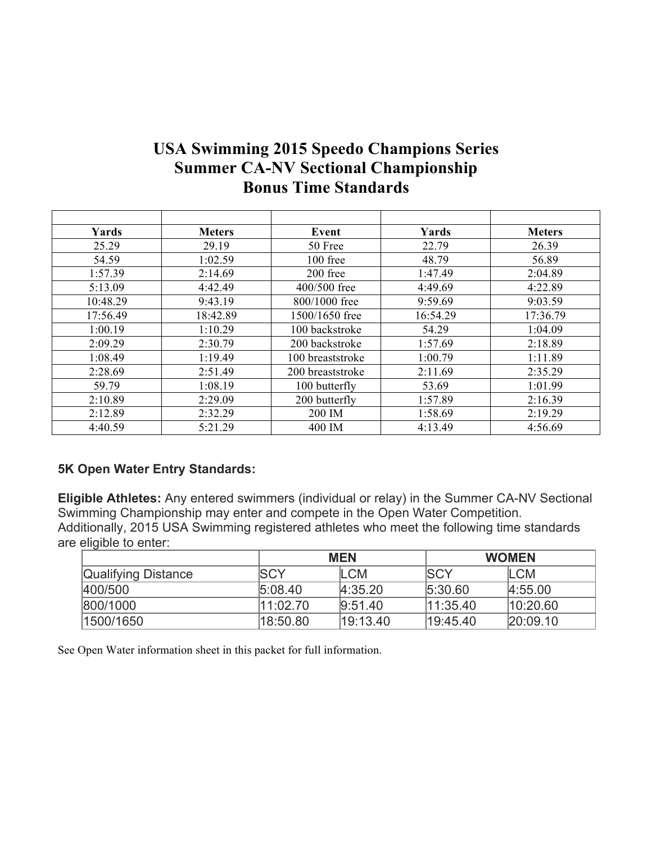## **USA Swimming 2015 Speedo Champions Series Summer CA-NV Sectional Championship Bonus Time Standards**

| Yards    | <b>Meters</b> | Event            | Yards    | <b>Meters</b> |
|----------|---------------|------------------|----------|---------------|
| 25.29    | 29.19         | 50 Free          | 22.79    | 26.39         |
| 54.59    | 1:02.59       | 100 free         | 48.79    | 56.89         |
| 1:57.39  | 2:14.69       | 200 free         | 1:47.49  | 2:04.89       |
| 5:13.09  | 4:42.49       | 400/500 free     | 4:49.69  | 4:22.89       |
| 10:48.29 | 9:43.19       | 800/1000 free    | 9:59.69  | 9:03.59       |
| 17:56.49 | 18:42.89      | 1500/1650 free   | 16:54.29 | 17:36.79      |
| 1:00.19  | 1:10.29       | 100 backstroke   | 54.29    | 1:04.09       |
| 2:09.29  | 2:30.79       | 200 backstroke   | 1:57.69  | 2:18.89       |
| 1:08.49  | 1:19.49       | 100 breaststroke | 1:00.79  | 1:11.89       |
| 2:28.69  | 2:51.49       | 200 breaststroke | 2:11.69  | 2:35.29       |
| 59.79    | 1:08.19       | 100 butterfly    | 53.69    | 1:01.99       |
| 2:10.89  | 2:29.09       | 200 butterfly    | 1:57.89  | 2:16.39       |
| 2:12.89  | 2:32.29       | 200 IM           | 1:58.69  | 2:19.29       |
| 4:40.59  | 5:21.29       | 400 IM           | 4:13.49  | 4:56.69       |

## **5K Open Water Entry Standards:**

**Eligible Athletes:** Any entered swimmers (individual or relay) in the Summer CA-NV Sectional Swimming Championship may enter and compete in the Open Water Competition. Additionally, 2015 USA Swimming registered athletes who meet the following time standards are eligible to enter:

|                            | <b>MEN</b>  |            | <b>WOMEN</b> |            |
|----------------------------|-------------|------------|--------------|------------|
| <b>Qualifying Distance</b> | <b>ISCY</b> | <b>LCM</b> | <b>ISCY</b>  | <b>LCM</b> |
| 400/500                    | 5:08.40     | 4:35.20    | 5:30.60      | 4:55.00    |
| 800/1000                   | 11:02.70    | 9:51.40    | 11:35.40     | 10:20.60   |
| 1500/1650                  | 18:50.80    | 19:13.40   | 19:45.40     | [20:09.10] |

See Open Water information sheet in this packet for full information.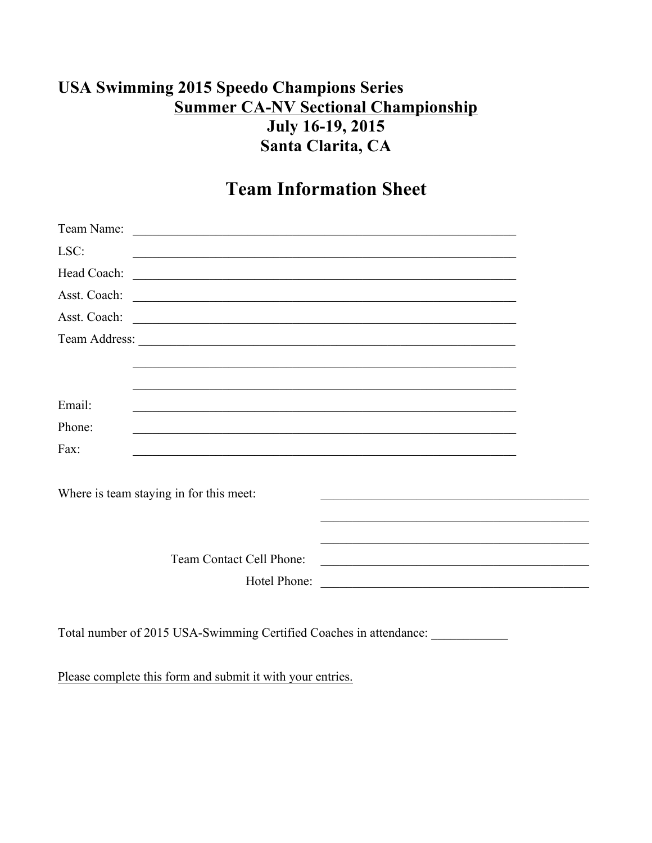## **USA Swimming 2015 Speedo Champions Series Summer CA-NV Sectional Championship** July 16-19, 2015 Santa Clarita, CA

## **Team Information Sheet**

| LSC:                                                                                                                                  | <u> 1989 - Johann Stoff, amerikansk politiker (d. 1989)</u>                                                           |  |
|---------------------------------------------------------------------------------------------------------------------------------------|-----------------------------------------------------------------------------------------------------------------------|--|
| Head Coach:<br><u> 1989 - Johann Stoff, deutscher Stoffen und der Stoffen und der Stoffen und der Stoffen und der Stoffen und der</u> |                                                                                                                       |  |
| Asst. Coach:<br><u> 1989 - Jan Barnett, fransk politiker (d. 1989)</u>                                                                |                                                                                                                       |  |
|                                                                                                                                       |                                                                                                                       |  |
|                                                                                                                                       |                                                                                                                       |  |
|                                                                                                                                       |                                                                                                                       |  |
|                                                                                                                                       |                                                                                                                       |  |
| Email:                                                                                                                                |                                                                                                                       |  |
| Phone:                                                                                                                                |                                                                                                                       |  |
| Fax:                                                                                                                                  | <u> 1989 - Johann Stoff, deutscher Stoff, der Stoff, der Stoff, der Stoff, der Stoff, der Stoff, der Stoff, der S</u> |  |
|                                                                                                                                       |                                                                                                                       |  |
| Where is team staying in for this meet:                                                                                               |                                                                                                                       |  |
|                                                                                                                                       |                                                                                                                       |  |
|                                                                                                                                       |                                                                                                                       |  |
| Team Contact Cell Phone:                                                                                                              | <u> 1989 - Johann John Stein, mars an deus Amerikaansk kommunister (* 1958)</u>                                       |  |
| Hotel Phone:                                                                                                                          | <u> 2008 - Jan Barnett, mars et al. (b. 1989)</u>                                                                     |  |
|                                                                                                                                       |                                                                                                                       |  |

Total number of 2015 USA-Swimming Certified Coaches in attendance:

Please complete this form and submit it with your entries.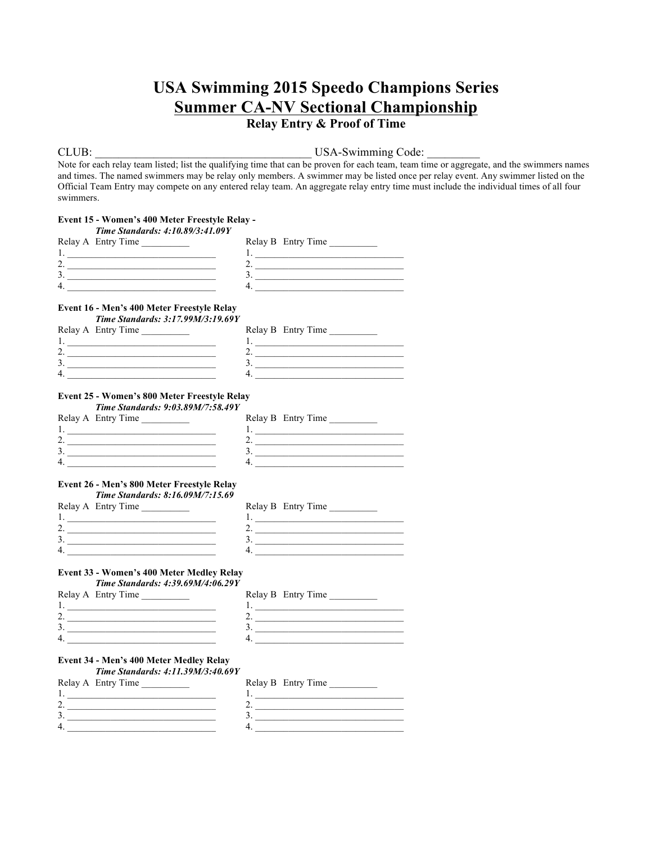## **Relay Entry & Proof of Time**

## CLUB: USA-Swimming Code:

Note for each relay team listed; list the qualifying time that can be proven for each team, team time or aggregate, and the swimmers names and times. The named swimmers may be relay only members. A swimmer may be listed once per relay event. Any swimmer listed on the Official Team Entry may compete on any entered relay team. An aggregate relay entry time must include the individual times of all four swimmers.

| Event 15 - Women's 400 Meter Freestyle Relay -<br>Time Standards: 4:10.89/3:41.09Y                         |                                                                                                                                                                                                                                                                                                                                                                                                                                                                        |
|------------------------------------------------------------------------------------------------------------|------------------------------------------------------------------------------------------------------------------------------------------------------------------------------------------------------------------------------------------------------------------------------------------------------------------------------------------------------------------------------------------------------------------------------------------------------------------------|
| Relay A Entry Time                                                                                         | Relay B Entry Time                                                                                                                                                                                                                                                                                                                                                                                                                                                     |
|                                                                                                            | $1.$ $\overline{\phantom{a}}$ $\overline{\phantom{a}}$ $\overline{\phantom{a}}$ $\overline{\phantom{a}}$ $\overline{\phantom{a}}$ $\overline{\phantom{a}}$ $\overline{\phantom{a}}$ $\overline{\phantom{a}}$ $\overline{\phantom{a}}$ $\overline{\phantom{a}}$ $\overline{\phantom{a}}$ $\overline{\phantom{a}}$ $\overline{\phantom{a}}$ $\overline{\phantom{a}}$ $\overline{\phantom{a}}$ $\overline{\phantom{a}}$ $\overline{\phantom{a}}$ $\overline{\phantom{a}}$ |
| 2. $\overline{\phantom{a}}$                                                                                |                                                                                                                                                                                                                                                                                                                                                                                                                                                                        |
| 3.                                                                                                         | 3.                                                                                                                                                                                                                                                                                                                                                                                                                                                                     |
| $4. \_$                                                                                                    | $\overline{4}$ .                                                                                                                                                                                                                                                                                                                                                                                                                                                       |
| Event 16 - Men's 400 Meter Freestyle Relay<br>Time Standards: 3:17.99M/3:19.69Y                            |                                                                                                                                                                                                                                                                                                                                                                                                                                                                        |
| Relay A Entry Time                                                                                         | Relay B Entry Time                                                                                                                                                                                                                                                                                                                                                                                                                                                     |
|                                                                                                            | $1.$ $\overline{\phantom{a}}$ $\overline{\phantom{a}}$ $\overline{\phantom{a}}$ $\overline{\phantom{a}}$ $\overline{\phantom{a}}$ $\overline{\phantom{a}}$ $\overline{\phantom{a}}$ $\overline{\phantom{a}}$ $\overline{\phantom{a}}$ $\overline{\phantom{a}}$ $\overline{\phantom{a}}$ $\overline{\phantom{a}}$ $\overline{\phantom{a}}$ $\overline{\phantom{a}}$ $\overline{\phantom{a}}$ $\overline{\phantom{a}}$ $\overline{\phantom{a}}$ $\overline{\phantom{a}}$ |
| 2. $\overline{\phantom{a}}$                                                                                | 2. $\qquad \qquad$                                                                                                                                                                                                                                                                                                                                                                                                                                                     |
|                                                                                                            |                                                                                                                                                                                                                                                                                                                                                                                                                                                                        |
| $4. \_$                                                                                                    |                                                                                                                                                                                                                                                                                                                                                                                                                                                                        |
| Event 25 - Women's 800 Meter Freestyle Relay<br>Time Standards: 9:03.89M/7:58.49Y                          |                                                                                                                                                                                                                                                                                                                                                                                                                                                                        |
| Relay A Entry Time                                                                                         | Relay B Entry Time                                                                                                                                                                                                                                                                                                                                                                                                                                                     |
|                                                                                                            | 1. <u>___________________________________</u>                                                                                                                                                                                                                                                                                                                                                                                                                          |
| 2. $\overline{\phantom{a}}$                                                                                | 2. $\overline{\phantom{a}}$                                                                                                                                                                                                                                                                                                                                                                                                                                            |
|                                                                                                            |                                                                                                                                                                                                                                                                                                                                                                                                                                                                        |
|                                                                                                            |                                                                                                                                                                                                                                                                                                                                                                                                                                                                        |
| Event 26 - Men's 800 Meter Freestyle Relay<br>Time Standards: 8:16.09M/7:15.69<br>Relay A Entry Time<br>4. | Relay B Entry Time<br>2. $\qquad \qquad$<br>4.                                                                                                                                                                                                                                                                                                                                                                                                                         |
| Event 33 - Women's 400 Meter Medley Relay<br>Time Standards: 4:39.69M/4:06.29Y                             |                                                                                                                                                                                                                                                                                                                                                                                                                                                                        |
| Relay A Entry Time                                                                                         | Relay B Entry Time                                                                                                                                                                                                                                                                                                                                                                                                                                                     |
|                                                                                                            |                                                                                                                                                                                                                                                                                                                                                                                                                                                                        |
|                                                                                                            | 2. $\overline{\phantom{a}}$                                                                                                                                                                                                                                                                                                                                                                                                                                            |
|                                                                                                            |                                                                                                                                                                                                                                                                                                                                                                                                                                                                        |
| 4.                                                                                                         | 4.                                                                                                                                                                                                                                                                                                                                                                                                                                                                     |
| Event 34 - Men's 400 Meter Medley Relay<br>Time Standards: 4:11.39M/3:40.69Y<br>Relay A Entry Time         | Relay B Entry Time<br>$1.$ $\overline{\phantom{a}}$                                                                                                                                                                                                                                                                                                                                                                                                                    |
| 2. $\qquad \qquad$                                                                                         | 2.                                                                                                                                                                                                                                                                                                                                                                                                                                                                     |
| 3.                                                                                                         | 3.                                                                                                                                                                                                                                                                                                                                                                                                                                                                     |

 $4.$   $4.$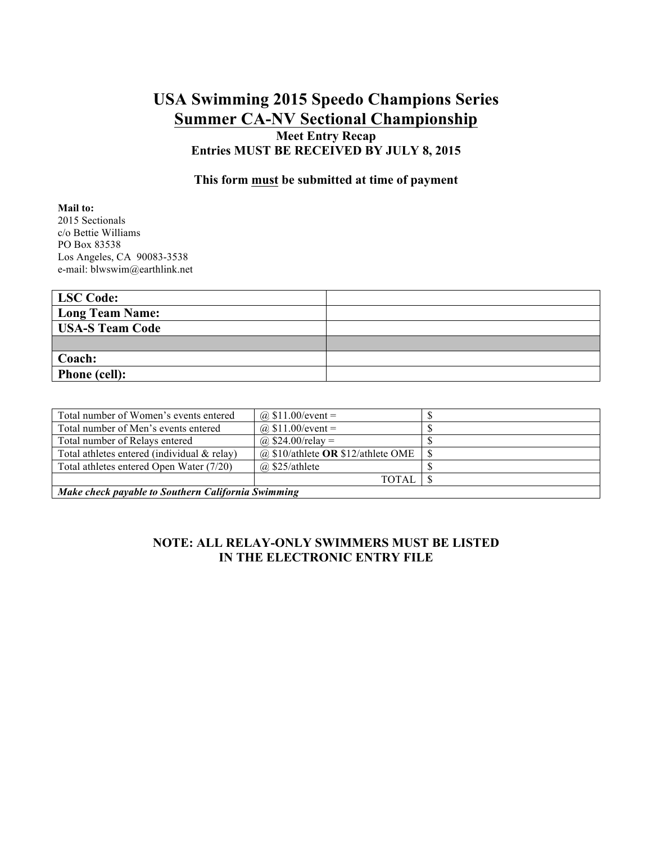**Meet Entry Recap Entries MUST BE RECEIVED BY JULY 8, 2015**

## **This form must be submitted at time of payment**

#### **Mail to:** 2015 Sectionals

c/o Bettie Williams PO Box 83538 Los Angeles, CA 90083-3538 e-mail: blwswim@earthlink.net

| LSC Code:              |  |
|------------------------|--|
| <b>Long Team Name:</b> |  |
| <b>USA-S Team Code</b> |  |
|                        |  |
| Coach:                 |  |
| Phone (cell):          |  |

| Total number of Women's events entered             | @ $$11.00/event =$                     |  |  |  |
|----------------------------------------------------|----------------------------------------|--|--|--|
| Total number of Men's events entered               | @ $$11.00/event =$                     |  |  |  |
| Total number of Relays entered                     | @ $$24.00$ /relay =                    |  |  |  |
| Total athletes entered (individual $&$ relay)      | $(a)$ \$10/athlete OR \$12/athlete OME |  |  |  |
| Total athletes entered Open Water (7/20)           | $(a)$ \$25/athlete                     |  |  |  |
| TOTAL                                              |                                        |  |  |  |
| Make check payable to Southern California Swimming |                                        |  |  |  |

## **NOTE: ALL RELAY-ONLY SWIMMERS MUST BE LISTED IN THE ELECTRONIC ENTRY FILE**